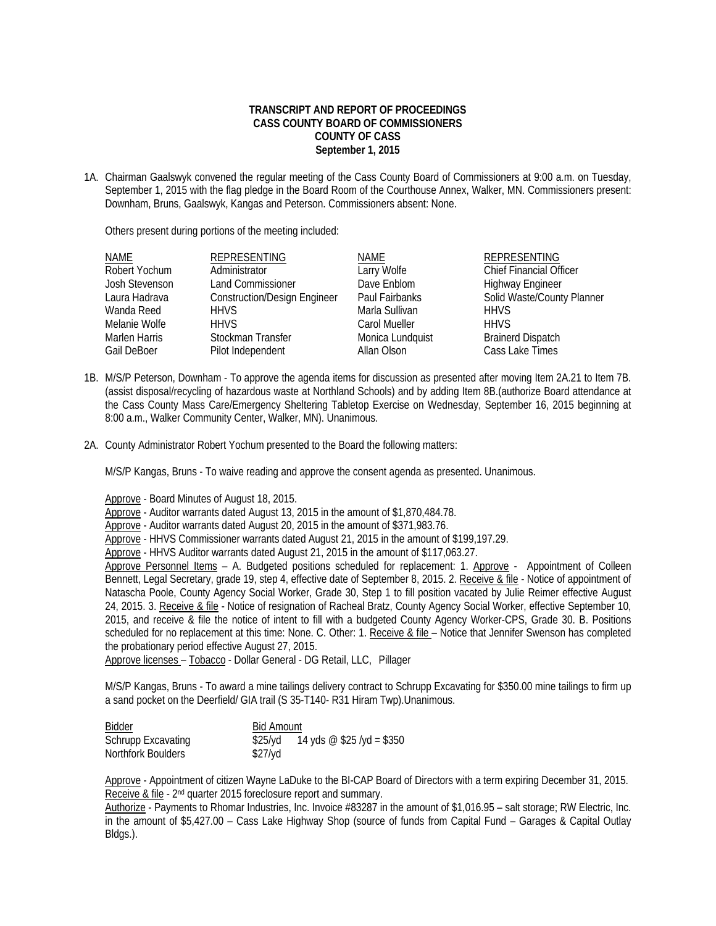## **TRANSCRIPT AND REPORT OF PROCEEDINGS CASS COUNTY BOARD OF COMMISSIONERS COUNTY OF CASS September 1, 2015**

1A. Chairman Gaalswyk convened the regular meeting of the Cass County Board of Commissioners at 9:00 a.m. on Tuesday, September 1, 2015 with the flag pledge in the Board Room of the Courthouse Annex, Walker, MN. Commissioners present: Downham, Bruns, Gaalswyk, Kangas and Peterson. Commissioners absent: None.

Others present during portions of the meeting included:

| NAME           | REPRESENTING                        | NAME             | <b>REPRESENTING</b>            |
|----------------|-------------------------------------|------------------|--------------------------------|
| Robert Yochum  | Administrator                       | Larry Wolfe      | <b>Chief Financial Officer</b> |
| Josh Stevenson | Land Commissioner                   | Dave Enblom      | <b>Highway Engineer</b>        |
| Laura Hadrava  | <b>Construction/Design Engineer</b> | Paul Fairbanks   | Solid Waste/County Planner     |
| Wanda Reed     | <b>HHVS</b>                         | Marla Sullivan   | <b>HHVS</b>                    |
| Melanie Wolfe  | <b>HHVS</b>                         | Carol Mueller    | <b>HHVS</b>                    |
| Marlen Harris  | Stockman Transfer                   | Monica Lundquist | <b>Brainerd Dispatch</b>       |
| Gail DeBoer    | Pilot Independent                   | Allan Olson      | Cass Lake Times                |

- 1B. M/S/P Peterson, Downham To approve the agenda items for discussion as presented after moving Item 2A.21 to Item 7B. (assist disposal/recycling of hazardous waste at Northland Schools) and by adding Item 8B.(authorize Board attendance at the Cass County Mass Care/Emergency Sheltering Tabletop Exercise on Wednesday, September 16, 2015 beginning at 8:00 a.m., Walker Community Center, Walker, MN). Unanimous.
- 2A. County Administrator Robert Yochum presented to the Board the following matters:

M/S/P Kangas, Bruns - To waive reading and approve the consent agenda as presented. Unanimous.

Approve - Board Minutes of August 18, 2015.

Approve - Auditor warrants dated August 13, 2015 in the amount of \$1,870,484.78.

Approve - Auditor warrants dated August 20, 2015 in the amount of \$371,983.76.

Approve - HHVS Commissioner warrants dated August 21, 2015 in the amount of \$199,197.29.

Approve - HHVS Auditor warrants dated August 21, 2015 in the amount of \$117,063.27.

Approve Personnel Items – A. Budgeted positions scheduled for replacement: 1. Approve - Appointment of Colleen Bennett, Legal Secretary, grade 19, step 4, effective date of September 8, 2015. 2. Receive & file - Notice of appointment of Natascha Poole, County Agency Social Worker, Grade 30, Step 1 to fill position vacated by Julie Reimer effective August 24, 2015. 3. Receive & file - Notice of resignation of Racheal Bratz, County Agency Social Worker, effective September 10, 2015, and receive & file the notice of intent to fill with a budgeted County Agency Worker-CPS, Grade 30. B. Positions scheduled for no replacement at this time: None. C. Other: 1. Receive & file – Notice that Jennifer Swenson has completed the probationary period effective August 27, 2015.

Approve licenses – Tobacco - Dollar General - DG Retail, LLC, Pillager

 M/S/P Kangas, Bruns - To award a mine tailings delivery contract to Schrupp Excavating for \$350.00 mine tailings to firm up a sand pocket on the Deerfield/ GIA trail (S 35-T140- R31 Hiram Twp).Unanimous.

| Bidder                    | <b>Bid Amount</b>                    |  |
|---------------------------|--------------------------------------|--|
| <b>Schrupp Excavating</b> | 14 yds @ \$25 /yd = \$350<br>\$25/vd |  |
| Northfork Boulders        | $$27$ /yd                            |  |

 Approve - Appointment of citizen Wayne LaDuke to the BI-CAP Board of Directors with a term expiring December 31, 2015. Receive & file - 2nd quarter 2015 foreclosure report and summary.

 Authorize - Payments to Rhomar Industries, Inc. Invoice #83287 in the amount of \$1,016.95 – salt storage; RW Electric, Inc. in the amount of \$5,427.00 – Cass Lake Highway Shop (source of funds from Capital Fund – Garages & Capital Outlay Bldgs.).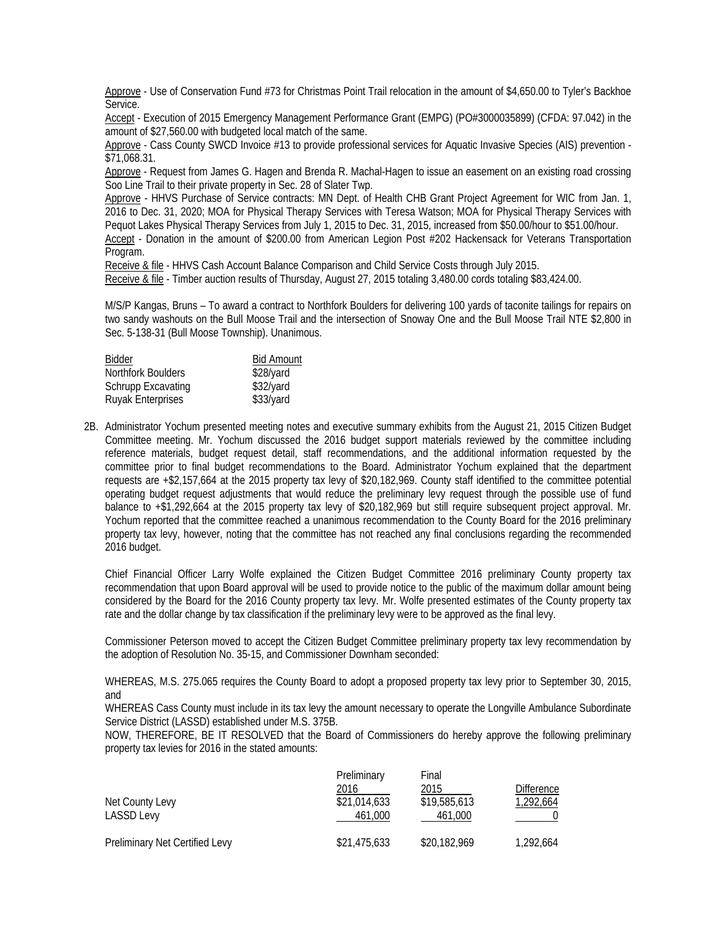Approve - Use of Conservation Fund #73 for Christmas Point Trail relocation in the amount of \$4,650.00 to Tyler's Backhoe Service.

 Accept - Execution of 2015 Emergency Management Performance Grant (EMPG) (PO#3000035899) (CFDA: 97.042) in the amount of \$27,560.00 with budgeted local match of the same.

 Approve - Cass County SWCD Invoice #13 to provide professional services for Aquatic Invasive Species (AIS) prevention - \$71,068.31.

 Approve - Request from James G. Hagen and Brenda R. Machal-Hagen to issue an easement on an existing road crossing Soo Line Trail to their private property in Sec. 28 of Slater Twp.

Approve - HHVS Purchase of Service contracts: MN Dept. of Health CHB Grant Project Agreement for WIC from Jan. 1, 2016 to Dec. 31, 2020; MOA for Physical Therapy Services with Teresa Watson; MOA for Physical Therapy Services with Pequot Lakes Physical Therapy Services from July 1, 2015 to Dec. 31, 2015, increased from \$50.00/hour to \$51.00/hour.

 Accept - Donation in the amount of \$200.00 from American Legion Post #202 Hackensack for Veterans Transportation Program.

Receive & file - HHVS Cash Account Balance Comparison and Child Service Costs through July 2015.

Receive & file - Timber auction results of Thursday, August 27, 2015 totaling 3,480.00 cords totaling \$83,424.00.

M/S/P Kangas, Bruns – To award a contract to Northfork Boulders for delivering 100 yards of taconite tailings for repairs on two sandy washouts on the Bull Moose Trail and the intersection of Snoway One and the Bull Moose Trail NTE \$2,800 in Sec. 5-138-31 (Bull Moose Township). Unanimous.

| <b>Bidder</b>             | <b>Bid Amount</b> |
|---------------------------|-------------------|
| Northfork Boulders        | \$28/yard         |
| <b>Schrupp Excavating</b> | \$32/yard         |
| <b>Ruyak Enterprises</b>  | \$33/yard         |

2B. Administrator Yochum presented meeting notes and executive summary exhibits from the August 21, 2015 Citizen Budget Committee meeting. Mr. Yochum discussed the 2016 budget support materials reviewed by the committee including reference materials, budget request detail, staff recommendations, and the additional information requested by the committee prior to final budget recommendations to the Board. Administrator Yochum explained that the department requests are +\$2,157,664 at the 2015 property tax levy of \$20,182,969. County staff identified to the committee potential operating budget request adjustments that would reduce the preliminary levy request through the possible use of fund balance to +\$1,292,664 at the 2015 property tax levy of \$20,182,969 but still require subsequent project approval. Mr. Yochum reported that the committee reached a unanimous recommendation to the County Board for the 2016 preliminary property tax levy, however, noting that the committee has not reached any final conclusions regarding the recommended 2016 budget.

 Chief Financial Officer Larry Wolfe explained the Citizen Budget Committee 2016 preliminary County property tax recommendation that upon Board approval will be used to provide notice to the public of the maximum dollar amount being considered by the Board for the 2016 County property tax levy. Mr. Wolfe presented estimates of the County property tax rate and the dollar change by tax classification if the preliminary levy were to be approved as the final levy.

Commissioner Peterson moved to accept the Citizen Budget Committee preliminary property tax levy recommendation by the adoption of Resolution No. 35-15, and Commissioner Downham seconded:

WHEREAS, M.S. 275.065 requires the County Board to adopt a proposed property tax levy prior to September 30, 2015, and

WHEREAS Cass County must include in its tax levy the amount necessary to operate the Longville Ambulance Subordinate Service District (LASSD) established under M.S. 375B.

NOW, THEREFORE, BE IT RESOLVED that the Board of Commissioners do hereby approve the following preliminary property tax levies for 2016 in the stated amounts:

| Net County Levy<br><b>LASSD Levy</b>  | Preliminary<br>2016<br>\$21,014,633<br>461.000 | Final<br>2015<br>\$19,585,613<br>461.000 | <b>Difference</b><br>1,292,664 |
|---------------------------------------|------------------------------------------------|------------------------------------------|--------------------------------|
| <b>Preliminary Net Certified Levy</b> | \$21,475,633                                   | \$20,182,969                             | 1.292.664                      |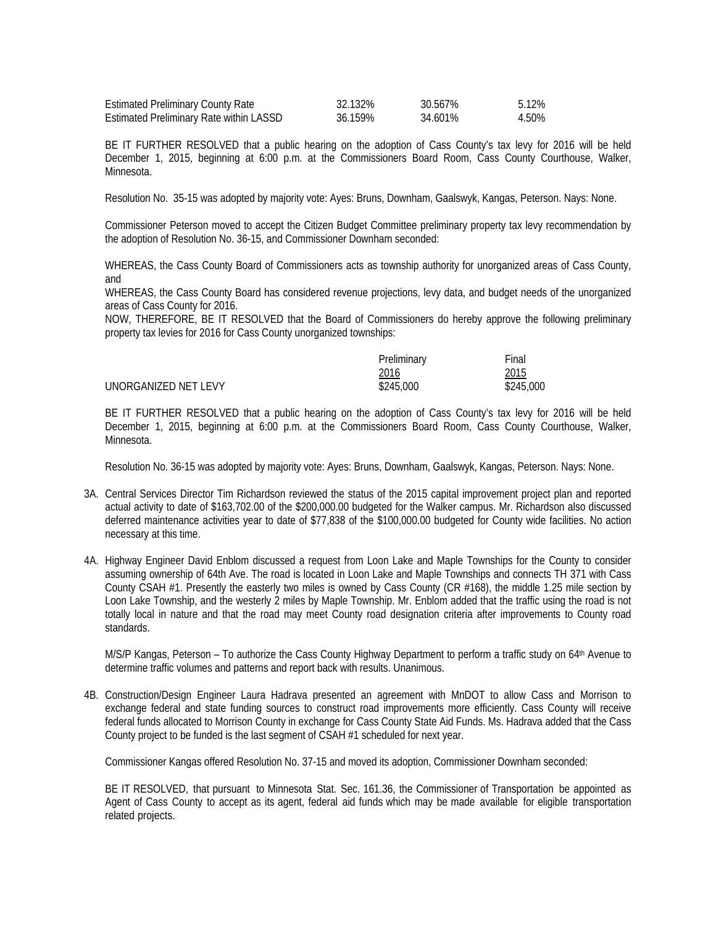| <b>Estimated Preliminary County Rate</b> | 32.132% | 30.567% | 5.12% |
|------------------------------------------|---------|---------|-------|
| Estimated Preliminary Rate within LASSD  | 36.159% | 34.601% | 4.50% |

BE IT FURTHER RESOLVED that a public hearing on the adoption of Cass County's tax levy for 2016 will be held December 1, 2015, beginning at 6:00 p.m. at the Commissioners Board Room, Cass County Courthouse, Walker, Minnesota.

Resolution No. 35-15 was adopted by majority vote: Ayes: Bruns, Downham, Gaalswyk, Kangas, Peterson. Nays: None.

Commissioner Peterson moved to accept the Citizen Budget Committee preliminary property tax levy recommendation by the adoption of Resolution No. 36-15, and Commissioner Downham seconded:

WHEREAS, the Cass County Board of Commissioners acts as township authority for unorganized areas of Cass County, and

WHEREAS, the Cass County Board has considered revenue projections, levy data, and budget needs of the unorganized areas of Cass County for 2016.

NOW, THEREFORE, BE IT RESOLVED that the Board of Commissioners do hereby approve the following preliminary property tax levies for 2016 for Cass County unorganized townships:

|                      | Preliminary  | Final     |
|----------------------|--------------|-----------|
|                      | <u> 2016</u> | 2015      |
| UNORGANIZED NET LEVY | \$245,000    | \$245,000 |

BE IT FURTHER RESOLVED that a public hearing on the adoption of Cass County's tax levy for 2016 will be held December 1, 2015, beginning at 6:00 p.m. at the Commissioners Board Room, Cass County Courthouse, Walker, Minnesota.

Resolution No. 36-15 was adopted by majority vote: Ayes: Bruns, Downham, Gaalswyk, Kangas, Peterson. Nays: None.

- 3A. Central Services Director Tim Richardson reviewed the status of the 2015 capital improvement project plan and reported actual activity to date of \$163,702.00 of the \$200,000.00 budgeted for the Walker campus. Mr. Richardson also discussed deferred maintenance activities year to date of \$77,838 of the \$100,000.00 budgeted for County wide facilities. No action necessary at this time.
- 4A. Highway Engineer David Enblom discussed a request from Loon Lake and Maple Townships for the County to consider assuming ownership of 64th Ave. The road is located in Loon Lake and Maple Townships and connects TH 371 with Cass County CSAH #1. Presently the easterly two miles is owned by Cass County (CR #168), the middle 1.25 mile section by Loon Lake Township, and the westerly 2 miles by Maple Township. Mr. Enblom added that the traffic using the road is not totally local in nature and that the road may meet County road designation criteria after improvements to County road standards.

M/S/P Kangas, Peterson – To authorize the Cass County Highway Department to perform a traffic study on 64<sup>th</sup> Avenue to determine traffic volumes and patterns and report back with results. Unanimous.

4B. Construction/Design Engineer Laura Hadrava presented an agreement with MnDOT to allow Cass and Morrison to exchange federal and state funding sources to construct road improvements more efficiently. Cass County will receive federal funds allocated to Morrison County in exchange for Cass County State Aid Funds. Ms. Hadrava added that the Cass County project to be funded is the last segment of CSAH #1 scheduled for next year.

Commissioner Kangas offered Resolution No. 37-15 and moved its adoption, Commissioner Downham seconded:

BE IT RESOLVED, that pursuant to Minnesota Stat. Sec. 161.36, the Commissioner of Transportation be appointed as Agent of Cass County to accept as its agent, federal aid funds which may be made available for eligible transportation related projects.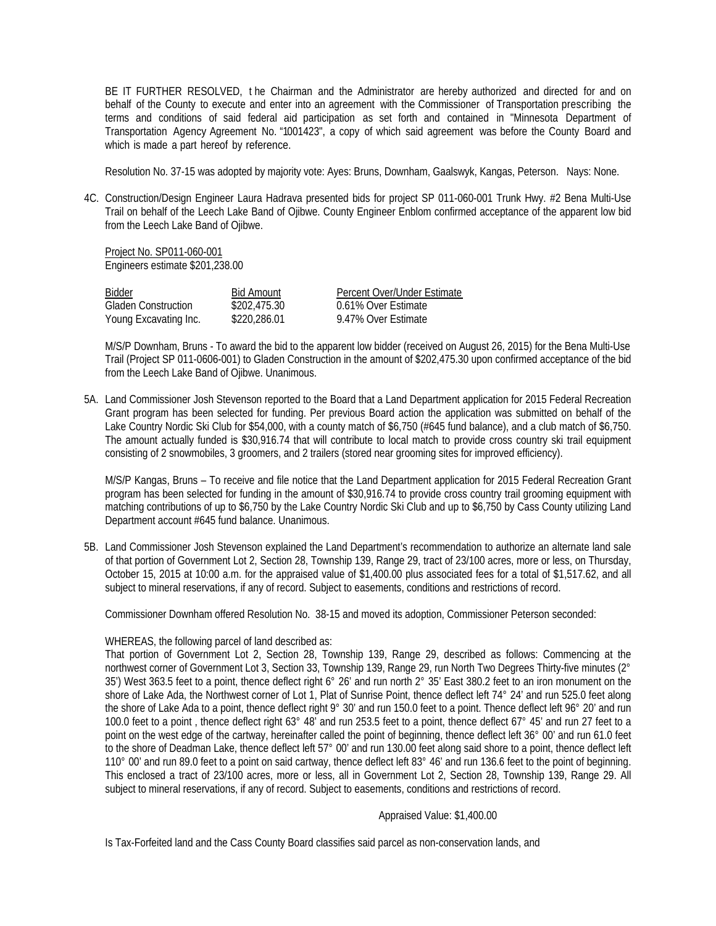BE IT FURTHER RESOLVED, t he Chairman and the Administrator are hereby authorized and directed for and on behalf of the County to execute and enter into an agreement with the Commissioner of Transportation prescribing the terms and conditions of said federal aid participation as set forth and contained in "Minnesota Department of Transportation Agency Agreement No. "1001423", a copy of which said agreement was before the County Board and which is made a part hereof by reference.

Resolution No. 37-15 was adopted by majority vote: Ayes: Bruns, Downham, Gaalswyk, Kangas, Peterson. Nays: None.

4C. Construction/Design Engineer Laura Hadrava presented bids for project SP 011-060-001 Trunk Hwy. #2 Bena Multi-Use Trail on behalf of the Leech Lake Band of Ojibwe. County Engineer Enblom confirmed acceptance of the apparent low bid from the Leech Lake Band of Ojibwe.

 Project No. SP011-060-001 Engineers estimate \$201,238.00

| Bidder                     | <b>Bid Amount</b> | Percent Over/Under Estimate |
|----------------------------|-------------------|-----------------------------|
| <b>Gladen Construction</b> | \$202,475.30      | 0.61% Over Estimate         |
| Young Excavating Inc.      | \$220,286.01      | 9.47% Over Estimate         |

M/S/P Downham, Bruns - To award the bid to the apparent low bidder (received on August 26, 2015) for the Bena Multi-Use Trail (Project SP 011-0606-001) to Gladen Construction in the amount of \$202,475.30 upon confirmed acceptance of the bid from the Leech Lake Band of Ojibwe. Unanimous.

5A. Land Commissioner Josh Stevenson reported to the Board that a Land Department application for 2015 Federal Recreation Grant program has been selected for funding. Per previous Board action the application was submitted on behalf of the Lake Country Nordic Ski Club for \$54,000, with a county match of \$6,750 (#645 fund balance), and a club match of \$6,750. The amount actually funded is \$30,916.74 that will contribute to local match to provide cross country ski trail equipment consisting of 2 snowmobiles, 3 groomers, and 2 trailers (stored near grooming sites for improved efficiency).

 M/S/P Kangas, Bruns – To receive and file notice that the Land Department application for 2015 Federal Recreation Grant program has been selected for funding in the amount of \$30,916.74 to provide cross country trail grooming equipment with matching contributions of up to \$6,750 by the Lake Country Nordic Ski Club and up to \$6,750 by Cass County utilizing Land Department account #645 fund balance. Unanimous.

5B. Land Commissioner Josh Stevenson explained the Land Department's recommendation to authorize an alternate land sale of that portion of Government Lot 2, Section 28, Township 139, Range 29, tract of 23/100 acres, more or less, on Thursday, October 15, 2015 at 10:00 a.m. for the appraised value of \$1,400.00 plus associated fees for a total of \$1,517.62, and all subject to mineral reservations, if any of record. Subject to easements, conditions and restrictions of record.

Commissioner Downham offered Resolution No. 38-15 and moved its adoption, Commissioner Peterson seconded:

## WHEREAS, the following parcel of land described as:

That portion of Government Lot 2, Section 28, Township 139, Range 29, described as follows: Commencing at the northwest corner of Government Lot 3, Section 33, Township 139, Range 29, run North Two Degrees Thirty-five minutes (2° 35') West 363.5 feet to a point, thence deflect right 6° 26' and run north 2° 35' East 380.2 feet to an iron monument on the shore of Lake Ada, the Northwest corner of Lot 1, Plat of Sunrise Point, thence deflect left 74° 24' and run 525.0 feet along the shore of Lake Ada to a point, thence deflect right 9° 30' and run 150.0 feet to a point. Thence deflect left 96° 20' and run 100.0 feet to a point , thence deflect right 63° 48' and run 253.5 feet to a point, thence deflect 67° 45' and run 27 feet to a point on the west edge of the cartway, hereinafter called the point of beginning, thence deflect left 36° 00' and run 61.0 feet to the shore of Deadman Lake, thence deflect left 57° 00' and run 130.00 feet along said shore to a point, thence deflect left 110° 00' and run 89.0 feet to a point on said cartway, thence deflect left 83° 46' and run 136.6 feet to the point of beginning. This enclosed a tract of 23/100 acres, more or less, all in Government Lot 2, Section 28, Township 139, Range 29. All subject to mineral reservations, if any of record. Subject to easements, conditions and restrictions of record.

## Appraised Value: \$1,400.00

Is Tax-Forfeited land and the Cass County Board classifies said parcel as non-conservation lands, and